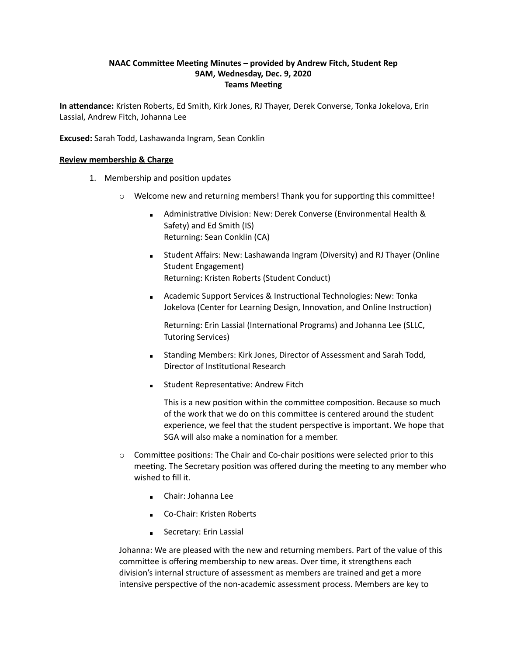# **NAAC Committee Meeting Minutes – provided by Andrew Fitch, Student Rep 9AM, Wednesday, Dec. 9, 2020 Teams Meeting**

**In attendance:** Kristen Roberts, Ed Smith, Kirk Jones, RJ Thayer, Derek Converse, Tonka Jokelova, Erin Lassial, Andrew Fitch, Johanna Lee

**Excused:** Sarah Todd, Lashawanda Ingram, Sean Conklin

## **Review membership & Charge**

- 1. Membership and position updates
	- $\circ$  Welcome new and returning members! Thank you for supporting this committee!
		- Administrative Division: New: Derek Converse (Environmental Health & Safety) and Ed Smith (IS) Returning: Sean Conklin (CA)
		- **EXEDENT Affairs: New: Lashawanda Ingram (Diversity) and RJ Thayer (Online** Student Engagement) Returning: Kristen Roberts (Student Conduct)
		- Academic Support Services & Instructional Technologies: New: Tonka Jokelova (Center for Learning Design, Innovation, and Online Instruction)

Returning: Erin Lassial (International Programs) and Johanna Lee (SLLC, Tutoring Services)

- **EXECT:** Standing Members: Kirk Jones, Director of Assessment and Sarah Todd, Director of Institutional Research
- **EXEC** Student Representative: Andrew Fitch

This is a new position within the committee composition. Because so much of the work that we do on this committee is centered around the student experience, we feel that the student perspective is important. We hope that SGA will also make a nomination for a member.

- $\circ$  Committee positions: The Chair and Co-chair positions were selected prior to this meeting. The Secretary position was offered during the meeting to any member who wished to fill it.
	- Chair: Johanna Lee
	- Co-Chair: Kristen Roberts
	- **Example 2** Secretary: Erin Lassial

Johanna: We are pleased with the new and returning members. Part of the value of this committee is offering membership to new areas. Over time, it strengthens each division's internal structure of assessment as members are trained and get a more intensive perspective of the non-academic assessment process. Members are key to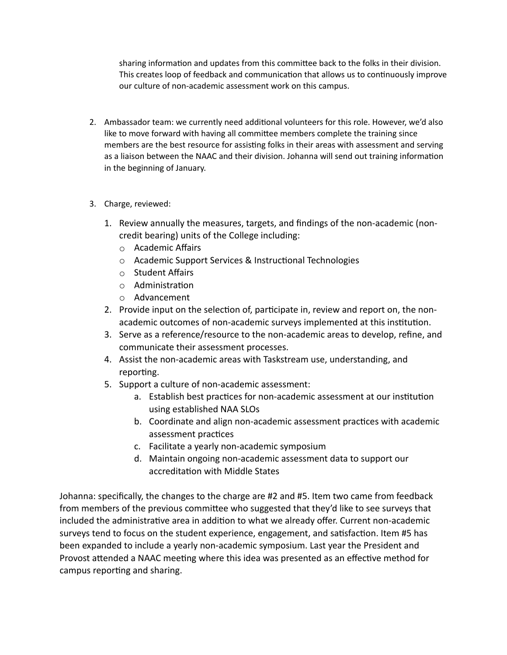sharing information and updates from this committee back to the folks in their division. This creates loop of feedback and communication that allows us to continuously improve our culture of non-academic assessment work on this campus.

- 2. Ambassador team: we currently need additional volunteers for this role. However, we'd also like to move forward with having all committee members complete the training since members are the best resource for assisting folks in their areas with assessment and serving as a liaison between the NAAC and their division. Johanna will send out training information in the beginning of January.
- 3. Charge, reviewed:
	- 1. Review annually the measures, targets, and findings of the non-academic (noncredit bearing) units of the College including:
		- o Academic Affairs
		- o Academic Support Services & Instructional Technologies
		- o Student Affairs
		- o Administration
		- o Advancement
	- 2. Provide input on the selection of, participate in, review and report on, the nonacademic outcomes of non-academic surveys implemented at this institution.
	- 3. Serve as a reference/resource to the non-academic areas to develop, refine, and communicate their assessment processes.
	- 4. Assist the non-academic areas with Taskstream use, understanding, and reporting.
	- 5. Support a culture of non-academic assessment:
		- a. Establish best practices for non-academic assessment at our institution using established NAA SLOs
		- b. Coordinate and align non-academic assessment practices with academic assessment practices
		- c. Facilitate a yearly non-academic symposium
		- d. Maintain ongoing non-academic assessment data to support our accreditation with Middle States

Johanna: specifically, the changes to the charge are #2 and #5. Item two came from feedback from members of the previous committee who suggested that they'd like to see surveys that included the administrative area in addition to what we already offer. Current non-academic surveys tend to focus on the student experience, engagement, and satisfaction. Item #5 has been expanded to include a yearly non-academic symposium. Last year the President and Provost attended a NAAC meeting where this idea was presented as an effective method for campus reporting and sharing.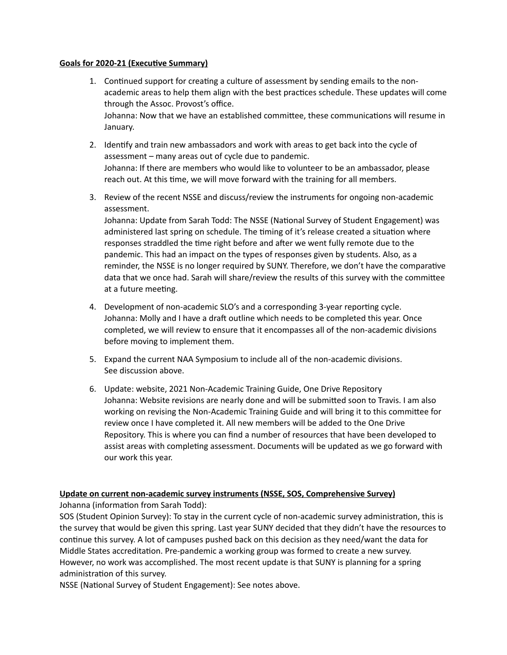## **Goals for 2020-21 (Executive Summary)**

- 1. Continued support for creating a culture of assessment by sending emails to the nonacademic areas to help them align with the best practices schedule. These updates will come through the Assoc. Provost's office. Johanna: Now that we have an established committee, these communications will resume in January.
- 2. Identify and train new ambassadors and work with areas to get back into the cycle of assessment – many areas out of cycle due to pandemic. Johanna: If there are members who would like to volunteer to be an ambassador, please reach out. At this time, we will move forward with the training for all members.
- 3. Review of the recent NSSE and discuss/review the instruments for ongoing non-academic assessment.

Johanna: Update from Sarah Todd: The NSSE (National Survey of Student Engagement) was administered last spring on schedule. The timing of it's release created a situation where responses straddled the time right before and after we went fully remote due to the pandemic. This had an impact on the types of responses given by students. Also, as a reminder, the NSSE is no longer required by SUNY. Therefore, we don't have the comparative data that we once had. Sarah will share/review the results of this survey with the committee at a future meeting.

- 4. Development of non-academic SLO's and a corresponding 3-year reporting cycle. Johanna: Molly and I have a draft outline which needs to be completed this year. Once completed, we will review to ensure that it encompasses all of the non-academic divisions before moving to implement them.
- 5. Expand the current NAA Symposium to include all of the non-academic divisions. See discussion above.
- 6. Update: website, 2021 Non-Academic Training Guide, One Drive Repository Johanna: Website revisions are nearly done and will be submitted soon to Travis. I am also working on revising the Non-Academic Training Guide and will bring it to this committee for review once I have completed it. All new members will be added to the One Drive Repository. This is where you can find a number of resources that have been developed to assist areas with completing assessment. Documents will be updated as we go forward with our work this year.

# **Update on current non-academic survey instruments (NSSE, SOS, Comprehensive Survey)**

Johanna (information from Sarah Todd):

SOS (Student Opinion Survey): To stay in the current cycle of non-academic survey administration, this is the survey that would be given this spring. Last year SUNY decided that they didn't have the resources to continue this survey. A lot of campuses pushed back on this decision as they need/want the data for Middle States accreditation. Pre-pandemic a working group was formed to create a new survey. However, no work was accomplished. The most recent update is that SUNY is planning for a spring administration of this survey.

NSSE (National Survey of Student Engagement): See notes above.